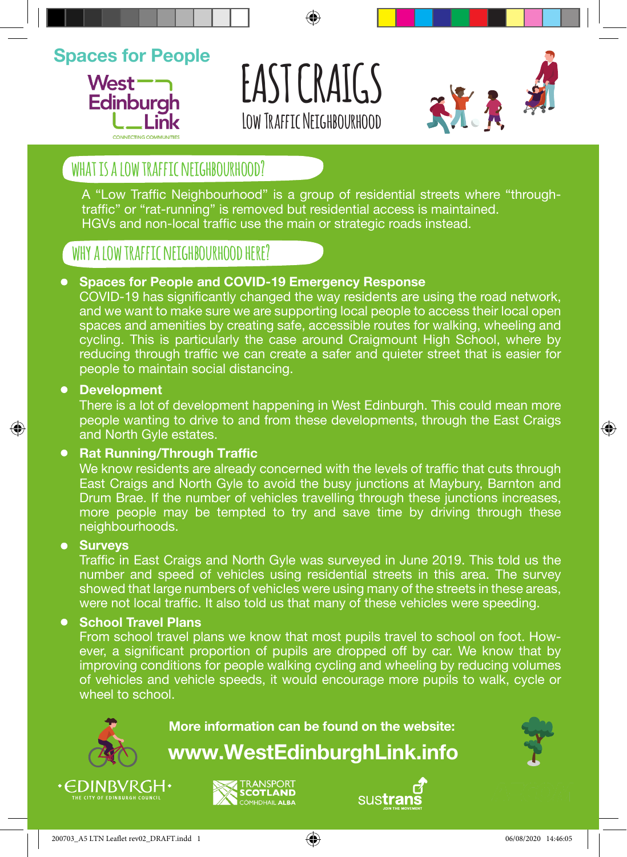## **Spaces for People**



# **EAST CRAIGS LOW TRAFFTC NFTGHBOURHOOD**



## WHAT IS A LOW TRAFFIC NFTGHBOURHOOD?

A "Low Traffic Neighbourhood" is a group of residential streets where "throughtraffic" or "rat-running" is removed but residential access is maintained. HGVs and non-local traffic use the main or strategic roads instead.

### **why a low traffic neighbourhood here?**

#### **Spaces for People and COVID-19 Emergency Response**

COVID-19 has significantly changed the way residents are using the road network, and we want to make sure we are supporting local people to access their local open spaces and amenities by creating safe, accessible routes for walking, wheeling and cycling. This is particularly the case around Craigmount High School, where by reducing through traffic we can create a safer and quieter street that is easier for people to maintain social distancing.

#### **Development**

There is a lot of development happening in West Edinburgh. This could mean more people wanting to drive to and from these developments, through the East Craigs and North Gyle estates.

#### **• Rat Running/Through Traffic**

We know residents are already concerned with the levels of traffic that cuts through East Craigs and North Gyle to avoid the busy junctions at Maybury, Barnton and Drum Brae. If the number of vehicles travelling through these junctions increases, more people may be tempted to try and save time by driving through these neighbourhoods.

#### **Surveys**

⊕

Traffic in East Craigs and North Gyle was surveyed in June 2019. This told us the number and speed of vehicles using residential streets in this area. The survey showed that large numbers of vehicles were using many of the streets in these areas, were not local traffic. It also told us that many of these vehicles were speeding.

#### **School Travel Plans**

From school travel plans we know that most pupils travel to school on foot. However, a significant proportion of pupils are dropped off by car. We know that by improving conditions for people walking cycling and wheeling by reducing volumes of vehicles and vehicle speeds, it would encourage more pupils to walk, cycle or wheel to school.



**More information can be found on the website:**

**www.WestEdinburghLink.info**



◈